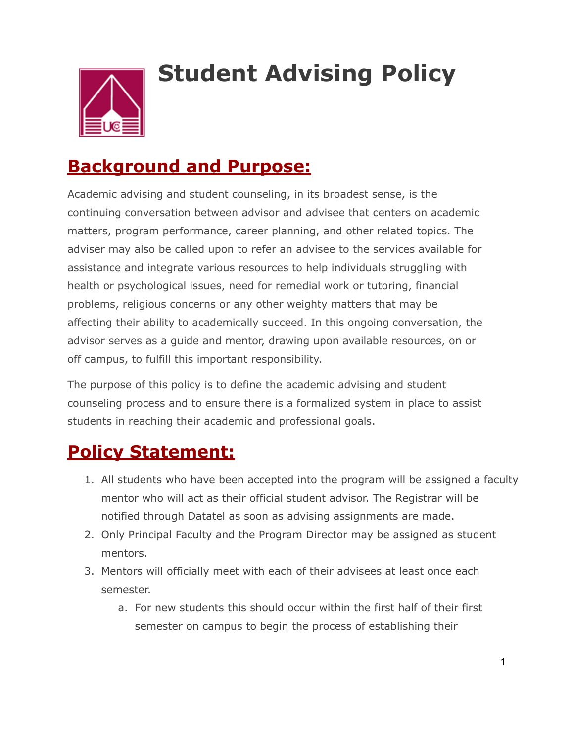

# **Student Advising Policy**

## **Background and Purpose:**

Academic advising and student counseling, in its broadest sense, is the continuing conversation between advisor and advisee that centers on academic matters, program performance, career planning, and other related topics. The adviser may also be called upon to refer an advisee to the services available for assistance and integrate various resources to help individuals struggling with health or psychological issues, need for remedial work or tutoring, financial problems, religious concerns or any other weighty matters that may be affecting their ability to academically succeed. In this ongoing conversation, the advisor serves as a guide and mentor, drawing upon available resources, on or off campus, to fulfill this important responsibility.

The purpose of this policy is to define the academic advising and student counseling process and to ensure there is a formalized system in place to assist students in reaching their academic and professional goals.

### **Policy Statement:**

- 1. All students who have been accepted into the program will be assigned a faculty mentor who will act as their official student advisor. The Registrar will be notified through Datatel as soon as advising assignments are made.
- 2. Only Principal Faculty and the Program Director may be assigned as student mentors.
- 3. Mentors will officially meet with each of their advisees at least once each semester.
	- a. For new students this should occur within the first half of their first semester on campus to begin the process of establishing their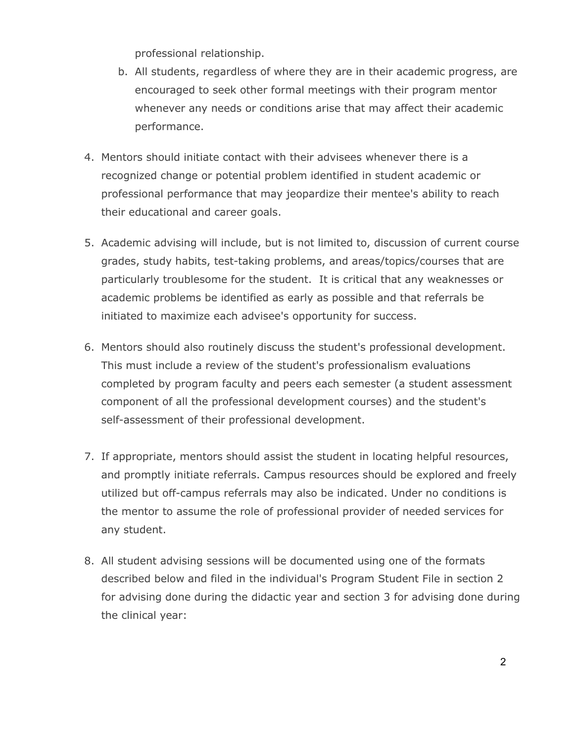professional relationship.

- b. All students, regardless of where they are in their academic progress, are encouraged to seek other formal meetings with their program mentor whenever any needs or conditions arise that may affect their academic performance.
- 4. Mentors should initiate contact with their advisees whenever there is a recognized change or potential problem identified in student academic or professional performance that may jeopardize their mentee's ability to reach their educational and career goals.
- 5. Academic advising will include, but is not limited to, discussion of current course grades, study habits, test-taking problems, and areas/topics/courses that are particularly troublesome for the student. It is critical that any weaknesses or academic problems be identified as early as possible and that referrals be initiated to maximize each advisee's opportunity for success.
- 6. Mentors should also routinely discuss the student's professional development. This must include a review of the student's professionalism evaluations completed by program faculty and peers each semester (a student assessment component of all the professional development courses) and the student's self-assessment of their professional development.
- 7. If appropriate, mentors should assist the student in locating helpful resources, and promptly initiate referrals. Campus resources should be explored and freely utilized but off-campus referrals may also be indicated. Under no conditions is the mentor to assume the role of professional provider of needed services for any student.
- 8. All student advising sessions will be documented using one of the formats described below and filed in the individual's Program Student File in section 2 for advising done during the didactic year and section 3 for advising done during the clinical year: